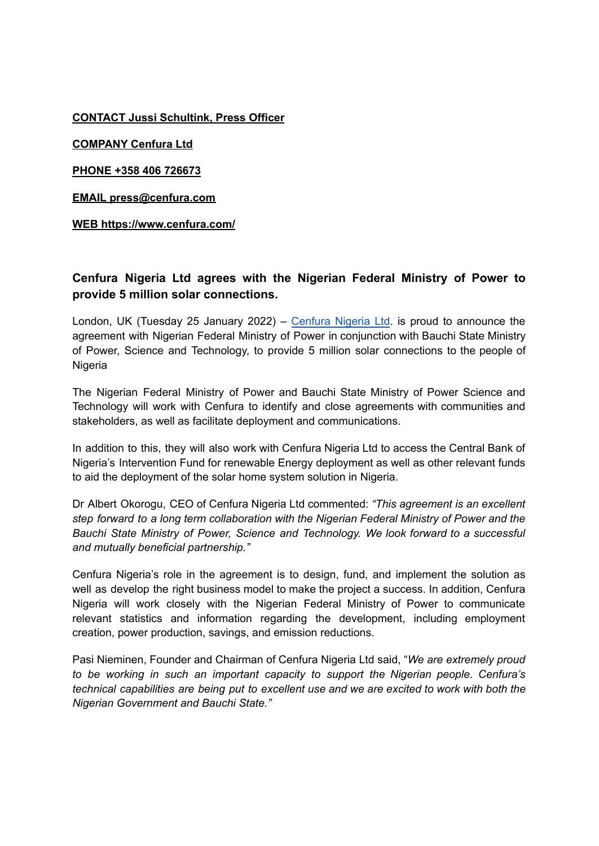**CONTACT Jussi Schultink, Press Officer**

**COMPANY Cenfura Ltd**

**PHONE +358 406 726673**

**EMAIL press@cenfura.com**

**WEB https://www.cenfura.com/**

## **Cenfura Nigeria Ltd agrees with the Nigerian Federal Ministry of Power to provide 5 million solar connections.**

London, UK (Tuesday 25 January 2022) – [Cenfura](https://cenfura.ng/) Nigeria Ltd. is proud to announce the agreement with Nigerian Federal Ministry of Power in conjunction with Bauchi State Ministry of Power, Science and Technology, to provide 5 million solar connections to the people of **Nigeria** 

The Nigerian Federal Ministry of Power and Bauchi State Ministry of Power Science and Technology will work with Cenfura to identify and close agreements with communities and stakeholders, as well as facilitate deployment and communications.

In addition to this, they will also work with Cenfura Nigeria Ltd to access the Central Bank of Nigeria's Intervention Fund for renewable Energy deployment as well as other relevant funds to aid the deployment of the solar home system solution in Nigeria.

Dr Albert Okorogu, CEO of Cenfura Nigeria Ltd commented: *"This agreement is an excellent step forward to a long term collaboration with the Nigerian Federal Ministry of Power and the Bauchi State Ministry of Power, Science and Technology. We look forward to a successful and mutually beneficial partnership."*

Cenfura Nigeria's role in the agreement is to design, fund, and implement the solution as well as develop the right business model to make the project a success. In addition, Cenfura Nigeria will work closely with the Nigerian Federal Ministry of Power to communicate relevant statistics and information regarding the development, including employment creation, power production, savings, and emission reductions.

Pasi Nieminen, Founder and Chairman of Cenfura Nigeria Ltd said, "*We are extremely proud to be working in such an important capacity to support the Nigerian people. Cenfura's technical capabilities are being put to excellent use and we are excited to work with both the Nigerian Government and Bauchi State."*